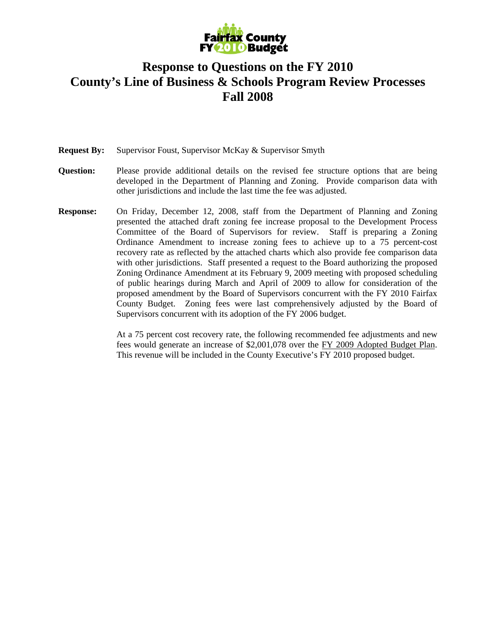

## **Response to Questions on the FY 2010 County's Line of Business & Schools Program Review Processes Fall 2008**

**Request By:** Supervisor Foust, Supervisor McKay & Supervisor Smyth

- **Question:** Please provide additional details on the revised fee structure options that are being developed in the Department of Planning and Zoning. Provide comparison data with other jurisdictions and include the last time the fee was adjusted.
- **Response:** On Friday, December 12, 2008, staff from the Department of Planning and Zoning presented the attached draft zoning fee increase proposal to the Development Process Committee of the Board of Supervisors for review. Staff is preparing a Zoning Ordinance Amendment to increase zoning fees to achieve up to a 75 percent-cost recovery rate as reflected by the attached charts which also provide fee comparison data with other jurisdictions. Staff presented a request to the Board authorizing the proposed Zoning Ordinance Amendment at its February 9, 2009 meeting with proposed scheduling of public hearings during March and April of 2009 to allow for consideration of the proposed amendment by the Board of Supervisors concurrent with the FY 2010 Fairfax County Budget. Zoning fees were last comprehensively adjusted by the Board of Supervisors concurrent with its adoption of the FY 2006 budget.

At a 75 percent cost recovery rate, the following recommended fee adjustments and new fees would generate an increase of \$2,001,078 over the FY 2009 Adopted Budget Plan. This revenue will be included in the County Executive's FY 2010 proposed budget.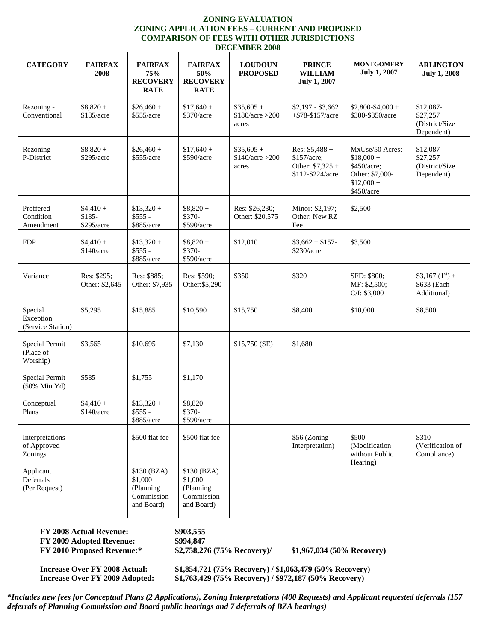## **ZONING EVALUATION ZONING APPLICATION FEES – CURRENT AND PROPOSED COMPARISON OF FEES WITH OTHER JURISDICTIONS DECEMBER 2008**

| <b>CATEGORY</b>                           | <b>FAIRFAX</b><br>2008             | <b>FAIRFAX</b><br>75%<br><b>RECOVERY</b>                        | <b>FAIRFAX</b><br>50%<br><b>RECOVERY</b>                        | <b>LOUDOUN</b><br><b>PROPOSED</b>        | <b>PRINCE</b><br><b>WILLIAM</b><br><b>July 1, 2007</b>                  | <b>MONTGOMERY</b><br><b>July 1, 2007</b>                                                      | <b>ARLINGTON</b><br><b>July 1, 2008</b>                    |
|-------------------------------------------|------------------------------------|-----------------------------------------------------------------|-----------------------------------------------------------------|------------------------------------------|-------------------------------------------------------------------------|-----------------------------------------------------------------------------------------------|------------------------------------------------------------|
|                                           |                                    | <b>RATE</b>                                                     | <b>RATE</b>                                                     |                                          |                                                                         |                                                                                               |                                                            |
| Rezoning -<br>Conventional                | $$8,820 +$<br>\$185/acre           | $$26,460 +$<br>\$555/acre                                       | $$17,640 +$<br>\$370/acre                                       | $$35,605 +$<br>\$180/acre > 200<br>acres | $$2,197 - $3,662$<br>$+ $78 - $157/ \text{acre}$                        | $$2,800-$4,000+$<br>\$300-\$350/acre                                                          | \$12,087-<br>\$27,257<br>(District/Size<br>Dependent)      |
| $Rezoning -$<br>P-District                | $$8,820 +$<br>\$295/acre           | $$26,460 +$<br>\$555/acre                                       | $$17,640 +$<br>\$590/acre                                       | $$35,605 +$<br>\$140/acre > 200<br>acres | Res: $$5,488 +$<br>\$157/acre;<br>Other: $$7,325 +$<br>\$112-\$224/acre | MxUse/50 Acres:<br>$$18,000 +$<br>\$450/acre;<br>Other: \$7,000-<br>$$12,000 +$<br>\$450/acre | \$12,087-<br>\$27,257<br>(District/Size<br>Dependent)      |
| Proffered<br>Condition<br>Amendment       | $$4,410+$<br>$$185-$<br>\$295/acre | $$13.320 +$<br>$$555 -$<br>\$885/acre                           | $$8,820 +$<br>\$370-<br>\$590/acre                              | Res: \$26,230;<br>Other: \$20,575        | Minor: \$2,197;<br>Other: New RZ<br>Fee                                 | \$2,500                                                                                       |                                                            |
| <b>FDP</b>                                | $$4,410+$<br>\$140/acre            | $$13,320 +$<br>$$555 -$<br>\$885/acre                           | $$8,820 +$<br>\$370-<br>\$590/acre                              | \$12,010                                 | $$3.662 + $157$ -<br>\$230/acre                                         | \$3,500                                                                                       |                                                            |
| Variance                                  | Res: \$295;<br>Other: \$2,645      | Res: \$885;<br>Other: \$7,935                                   | Res: \$590;<br>Other: \$5,290                                   | \$350                                    | \$320                                                                   | SFD: \$800;<br>MF: \$2,500;<br>C/I: \$3,000                                                   | $$3,167$ $(1^{\text{st}})$ +<br>\$633 (Each<br>Additional) |
| Special<br>Exception<br>(Service Station) | \$5,295                            | \$15,885                                                        | \$10,590                                                        | \$15,750                                 | \$8,400                                                                 | \$10,000                                                                                      | \$8,500                                                    |
| Special Permit<br>(Place of<br>Worship)   | \$3,565                            | \$10,695                                                        | \$7,130                                                         | \$15,750 (SE)                            | \$1,680                                                                 |                                                                                               |                                                            |
| Special Permit<br>(50% Min Yd)            | \$585                              | \$1,755                                                         | \$1,170                                                         |                                          |                                                                         |                                                                                               |                                                            |
| Conceptual<br>Plans                       | $$4,410+$<br>\$140/acre            | $$13,320 +$<br>$$555 -$<br>\$885/acre                           | $$8,820 +$<br>\$370-<br>\$590/acre                              |                                          |                                                                         |                                                                                               |                                                            |
| Interpretations<br>of Approved<br>Zonings |                                    | \$500 flat fee                                                  | \$500 flat fee                                                  |                                          | \$56 (Zoning<br>Interpretation)                                         | \$500<br>(Modification<br>without Public<br>Hearing)                                          | \$310<br>(Verification of<br>Compliance)                   |
| Applicant<br>Deferrals<br>(Per Request)   |                                    | \$130 (BZA)<br>\$1,000<br>(Planning<br>Commission<br>and Board) | \$130 (BZA)<br>\$1,000<br>(Planning<br>Commission<br>and Board) |                                          |                                                                         |                                                                                               |                                                            |

**FY 2008 Actual Revenue: \$903,555 FY 2009 Adopted Revenue: \$994,847 FY 2010 Proposed Revenue:\* \$2,758,276 (75% Recovery)/ \$1,967,034 (50% Recovery)** 

**Increase Over FY 2008 Actual: \$1,854,721 (75% Recovery) / \$1,063,479 (50% Recovery) Increase Over FY 2009 Adopted: \$1,763,429 (75% Recovery) / \$972,187 (50% Recovery)** 

**\****Includes new fees for Conceptual Plans (2 Applications), Zoning Interpretations (400 Requests) and Applicant requested deferrals (157 deferrals of Planning Commission and Board public hearings and 7 deferrals of BZA hearings)*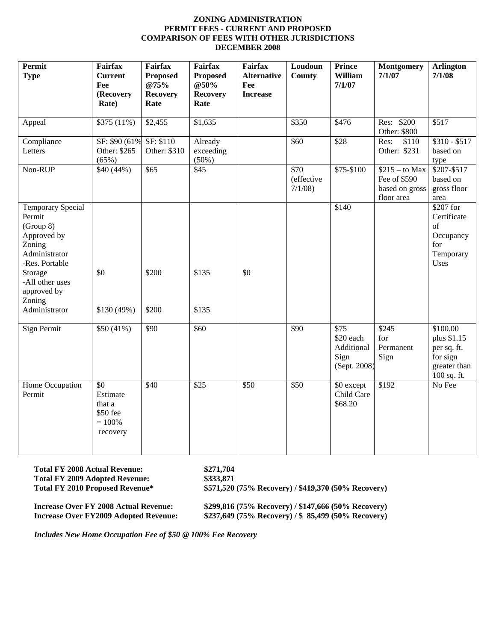## **ZONING ADMINISTRATION PERMIT FEES - CURRENT AND PROPOSED COMPARISON OF FEES WITH OTHER JURISDICTIONS DECEMBER 2008**

| <b>Permit</b><br><b>Type</b>                                                                                                                                                        | <b>Fairfax</b><br><b>Current</b><br>Fee<br>(Recovery<br>Rate) | Fairfax<br><b>Proposed</b><br>@75%<br><b>Recovery</b><br>Rate | <b>Fairfax</b><br><b>Proposed</b><br>@50%<br><b>Recovery</b><br>Rate | Fairfax<br><b>Alternative</b><br>Fee<br><b>Increase</b> | Loudoun<br>County                        | <b>Prince</b><br>William<br>7/1/07                      | <b>Montgomery</b><br>7/1/07                                     | <b>Arlington</b><br>7/1/08                                                        |
|-------------------------------------------------------------------------------------------------------------------------------------------------------------------------------------|---------------------------------------------------------------|---------------------------------------------------------------|----------------------------------------------------------------------|---------------------------------------------------------|------------------------------------------|---------------------------------------------------------|-----------------------------------------------------------------|-----------------------------------------------------------------------------------|
| Appeal                                                                                                                                                                              | \$375 (11%)                                                   | \$2,455                                                       | \$1,635                                                              |                                                         | \$350                                    | \$476                                                   | Res: \$200<br>Other: \$800                                      | \$517                                                                             |
| Compliance<br>Letters                                                                                                                                                               | SF: \$90 (61%)<br>Other: \$265<br>(65%)                       | SF: \$110<br>Other: \$310                                     | Already<br>exceeding<br>(50%)                                        |                                                         | \$60                                     | \$28                                                    | \$110<br>Res:<br>Other: \$231                                   | $$310 - $517$<br>based on<br>type                                                 |
| Non-RUP                                                                                                                                                                             | \$40 (44%)                                                    | \$65                                                          | \$45                                                                 |                                                         | $\overline{$}70$<br>(effective<br>7/1/08 | \$75-\$100                                              | $$215 - to Max$<br>Fee of \$590<br>based on gross<br>floor area | \$207-\$517<br>based on<br>gross floor<br>area                                    |
| <b>Temporary Special</b><br>Permit<br>(Group 8)<br>Approved by<br>Zoning<br>Administrator<br>-Res. Portable<br>Storage<br>-All other uses<br>approved by<br>Zoning<br>Administrator | \$0<br>\$130 (49%)                                            | \$200<br>\$200                                                | \$135<br>\$135                                                       | \$0                                                     |                                          | \$140                                                   |                                                                 | \$207 for<br>Certificate<br>of<br>Occupancy<br>for<br>Temporary<br>Uses           |
| Sign Permit                                                                                                                                                                         | \$50(41%)                                                     | \$90                                                          | \$60                                                                 |                                                         | \$90                                     | \$75<br>\$20 each<br>Additional<br>Sign<br>(Sept. 2008) | \$245<br>for<br>Permanent<br>Sign                               | \$100.00<br>plus \$1.15<br>per sq. ft.<br>for sign<br>greater than<br>100 sq. ft. |
| Home Occupation<br>Permit                                                                                                                                                           | \$0<br>Estimate<br>that a<br>\$50 fee<br>$= 100%$<br>recovery | \$40                                                          | \$25                                                                 | \$50                                                    | \$50                                     | \$0 except<br>Child Care<br>\$68.20                     | \$192                                                           | No Fee                                                                            |

**Total FY 2008 Actual Revenue: \$271,704 Total FY 2009 Adopted Revenue: \$333,871** 

**Total FY 2010 Proposed Revenue\* \$571,520 (75% Recovery) / \$419,370 (50% Recovery)** 

**Increase Over FY 2008 Actual Revenue: \$299,816 (75% Recovery) / \$147,666 (50% Recovery) Increase Over FY2009 Adopted Revenue: \$237,649 (75% Recovery) / \$ 85,499 (50% Recovery)** 

*Includes New Home Occupation Fee of \$50 @ 100% Fee Recovery*